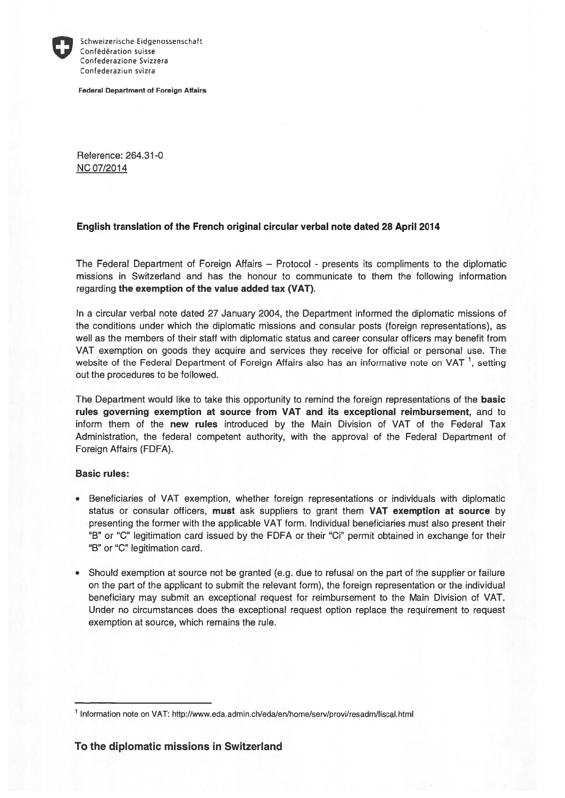

Schweizerische Eidgenossenschaft Confédération suisse Confederazione Svizzera Confederaziun svizra

Federal Department of Foreign Affairs

Reference: 264.31-0 NC 07/2014

## English translation of the French original circular verbal note dated 28 April 2014

The Federal Department of Foreign Affairs — Protocol - presents its compliments to the diplomatic missions in Switzerland and has the honour to communicate to them the following information regarding the exemption of the value added tax (VAT).

In <sup>a</sup> circular verbal note dated 27 January 2004, the Department informed the diplomatic missions of the conditions under which the diplomatic missions and consular posts (foreign representations), as weil as the members of their staff with diplomatic status and career consular officers may benefit from VAT exemption on goods they acquire and services they receive for official or personal use. The website of the Federal Department of Foreign Affairs also has an informative note on VAT<sup>1</sup>, setting out the procedures to be followed.

The Department would like to take this opportunity to remind the foreign representations of the **basic** rules governing exemption at source from VAT and its exceptional reimbursement, and to inform them of the new rules introduced by the Main Division of VAT of the Federal Tax Administration, the federal competent authority, with the approval of the Federal Department of Foreign Affairs (FDFA).

## Basic rules:

- Beneficiaries of VAT exemption, whether foreign representations or individuals with diplomatic status or consular officers, must ask suppliers to gran<sup>t</sup> them VAT exemption at source by presenting the former with the applicable VAT form. Individual beneficiaries must also presen<sup>t</sup> their "B" or "C" legitimation card issued by the FDFA or their "Ci" permit obtained in exchange for their "B" or "C" legitimation card.
- Should exemption at source not be granted (e.g. due to refusal on the par<sup>t</sup> of the supplier or failure on the par<sup>t</sup> of the applicant to submit the relevant form), the foreign representation or the individual beneficiary may submit an exceptional reques<sup>t</sup> for reimbursement to the Main Division of VAT. Under no circumstances does the exceptional reques<sup>t</sup> option replace the requirement to reques<sup>t</sup> exemption at source, which remains the rule.

<sup>1</sup> Information note on VAT: http://www.eda.admin.ch/ed&en/home/serv/provi/resadm/fiscal. html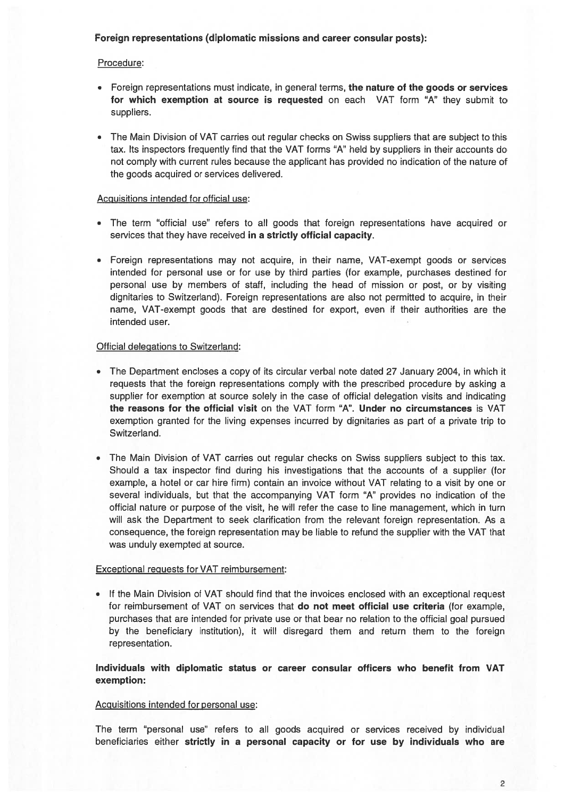## Foreign representations (diplomatic missions and career consular posts):

## Procedure:

- Foreign representations must indicate, in general terms, the nature of the goods or services for which exemption at source is requested on each VAT form "A" they submit to suppliers.
- The Main Division of VAT carries out regular checks on Swiss suppliers that are subject to this tax. Its inspectors frequently find that the VAT forms "A" held by suppliers in their accounts dc not comply with current rules because the applicant has provided no indication of the nature of the goods acquired or services delivered.

#### Acguisitions intended for official use:

- The term "efficial use" refers to all goods that foreign representations have acquired or services that they have received in <sup>a</sup> strictly official capacity.
- Foreign representations may not acquire, in their name, VAT-exempt goods or services intended for personal use er for use by third parties (for example, purchases destined for personal use by members of staff, including the head ef mission er post, er by visiting dignitaries to Switzerland). Foreign representations are also not permitted to acquire, in their name, VAT-exempt goods that are destined for export, even if their authorities are the intended user.

#### Official delegations to Switzerland:

- The Department encloses <sup>a</sup> cepy of its circular verbal note dated 27 January 2004, in which it requests that the foreign representations comply with the prescribed procedure by asking a supplier for exemption at source solely in the case of official delegation visits and indicating the reasons for the official visit on the VAT form "A". Under no circumstances is VAT exemption granted for the living expenses incurred by dignitaries as part of a private trip to Switzerland.
- •The Main Division of VAT carries out regular checks on Swiss suppliers subject to this tax. Should <sup>a</sup> tax inspector find during his investigations that the acceunts of <sup>a</sup> supplier (for example, <sup>a</sup> hotel er car hire firm) contain an invoice without VAT relating to <sup>a</sup> visit by one er several individuals, but that the accompanying VAT form "A" provides no indication of the official nature or purpose of the visit, he will refer the case to line management, which in turn will ask the Department to seek clarification from the relevant foreign representation. As a consequence, the foreign representation may be liable to refund the supplier with the VAT that was unduly exempted at source.

#### Exceptional reguests for VAT reimbursement:

• If the Main Division of VAT should find that the invoices enclosed with an exceptional request for reimbursement of VAT on services that do not meet official use criteria (for example, purchases that are intended for private use er that bear ne relation te the official geal pursued by the beneficiary institution), it will disregard them and return them to the foreign representation.

## Individuals with diplomatic status or career consular officers who benefit from VAT exemption:

#### Acguisitions intended for personal use:

The term "personal use" refers to all goods acquired or services received by individual beneficiaries either strictly in <sup>a</sup> personal capacity or for use by individuals who are

2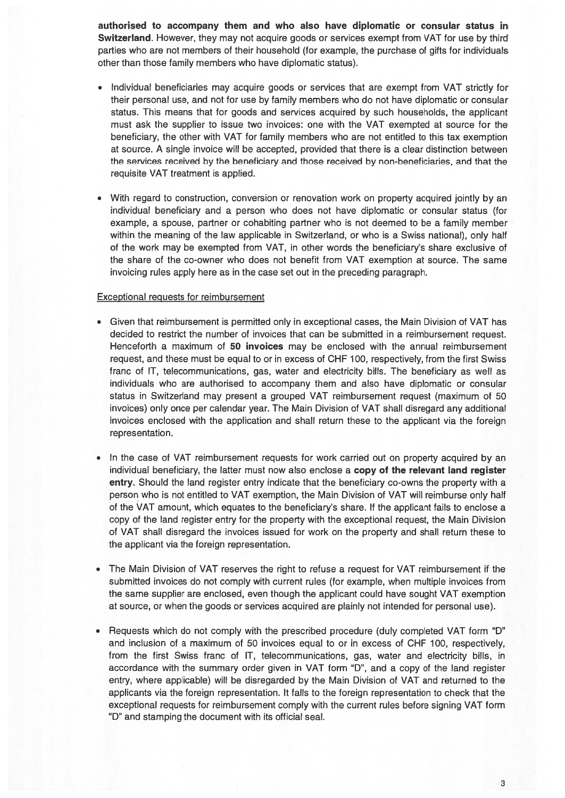authorised to accompany them and who also have diplomatic or consular status in Switzerland. However, they may not acquire goods or services exempt from VAT for use by third parties who are not members of their household (for example, the purchase of gifts for individuals other than those family members who have diplomatic status).

- Individual beneficiaries may acquire goods or services that are exemp<sup>t</sup> from VAT strictly for their personal use, and not for use by family members who do not have diplomatic or consular status. This means that for goods and services acquired by such households, the applicant must ask the supplier to issue two invoices: one with the VAT exempted at source for the beneficiary, the other with VAT for family members who are not entitled to this tax exemption at source. A single invoice will be accepted, provided that there is <sup>a</sup> clear distinction between the services received by the beneficiary and those received by non-beneficiaries, and that the requisite VAT treatment is applied.
- With regard to construction, conversion or renovation work on property acquired jointly by an individual beneficiary and <sup>a</sup> person who does not have diplomatic or consular status (for example, <sup>a</sup> spouse, partner or cohabiting partner who is not deemed to be <sup>a</sup> family member within the meaning of the law applicable in Switzerland, or who is <sup>a</sup> Swiss national), only half of the work may be exempted from VAT, in other words the beneficiary's share exclusive of the share of the co-owner who does not benefit from VAT exemption at source. The same invoicing rules apply here as in the case set out in the preceding paragraph.

#### Exceptional reguests for reimbursement

- Given that reimbursement is permitted only in exceptional cases, the Main Division of VAT has decided to restrict the number of invoices that can be submitted in <sup>a</sup> reimbursement request. Henceforth a maximum of 50 invoices may be enclosed with the annual reimbursement request, and these must be equal to or in excess of CHF 100, respectively, from the first Swiss franc of IT, telecommunications, gas, water and electricity bills. The beneficiary as well as individuals who are authorised to accompany them and also have diplomatic or consular status in Switzerland may presen<sup>t</sup> <sup>a</sup> grouped VAT reimbursement reques<sup>t</sup> (maximum of 50 invoices) only once per calendar year. The Main Division of VAT shall disregard any additional invoices enclosed with the application and shall return these to the applicant via the foreign representation.
- • In the case of VAT reimbursement requests for work carried out on property acquired by an individual beneficiary, the latter must now also enclose a copy of the relevant land register entry. Should the land register entry indicate that the beneficiary co-owns the property with a person who is not entitled to VAT exemption, the Main Division of VAT will reimburse only half of the VAT amount, which equates to the beneficiary's share. If the applicant fails to enclose <sup>a</sup> copy of the land register entry for the property with the exceptional request, the Main Division of VAT shall disregard the invoices issued tor work on the property and shall return these to the applicant via the foreign representation.
- • The Main Division of VAT reserves the right to refuse <sup>a</sup> reques<sup>t</sup> for VAT reimbursement if the submitted invoices do not comply with current rules (for example, when multiple invoices from the same supplier are enclosed, even though the applicant could have sought VAT exemption at source, or when the goods or services acquired are plainly not intended for personal use).
- •Requests which do not comply with the prescribed procedure (duly completed VAT form "D" and inclusion ot <sup>a</sup> maximum of 50 invoices equal to or in excess of CHF 100, respectively, from the first Swiss franc of IT, telecommunications, gas, water and electricity bills, in accordance with the summary order given in VAT form "D", and <sup>a</sup> copy of the land register entry, where applicable) will be disregarded by the Main Division of VAT and returned to the applicants via the foreign representation. lt falls to the foreign representation to check that the exceptional requests tor reimbursement comply with the current rules before signing VAT form "D" and stamping the document with its official seal.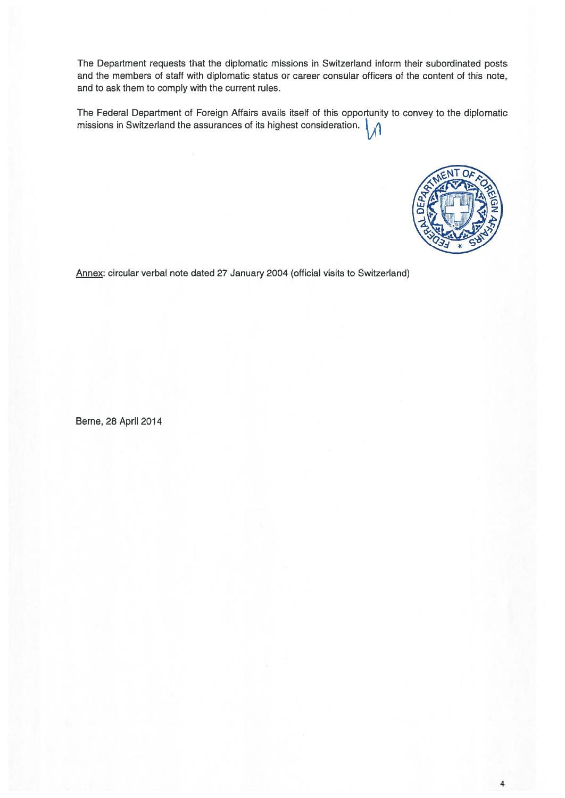The Department requests that the diplomatic missions in Switzerland inform their subordinated posts and the members of staff with diplomatic status or career consular officers of the content of this note, and to ask them to comply with the current rules.

The Federal Department of Foreign Affairs avails itseif of this opportunity to convey to the diplomatic missions in Switzerland the assurances of its highest consideration.



Annex: circular verbal note dated 27 January 2004 (official visits to Switzerland)

Berne, 28 April 2014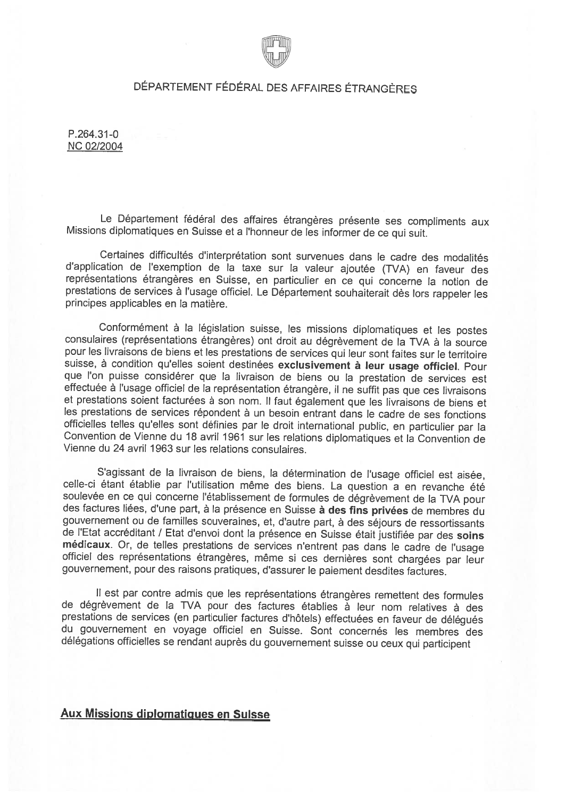

# DÉPARTEMENT FÉDÉRAL DES AFFAIRES ÉTRANGÈRES

R264.31-0 NC 02/2004

Le Département fédéral des affaires étrangères présente ses compliments aux Missions diplomatiques en Suisse et a l'honneur de les informer de ce qui suit.

Certaines difficultés d'interprétation sont survenues dans le cadre des modalités d'application de l'exemption de la taxe sur la valeur ajoutée (TVA) en faveur des représentations étrangères en Suisse, en particulier en ce qui concerne la notion de prestations de services à l'usage officiel. Le Département souhaiterait dès lors rappeler les principes applicables en la matière.

Conformément à la législation suisse, les missions diplomatiques et les postes consulaires (représentations étrangères) ont droit au dégrèvement de la TVA à la source pour les livraisons de biens et les prestations de serv suisse, à condition qu'elles soient destinées exclusivement à leur usage officiel. Pour que l'on puisse considérer que la livraison de biens ou la prestation de services est effectuée à l'usage officiel de la représentation étrangère, il ne suffit pas que ces livraisons et prestations soient facturées à son nom. Il faut également que les livraisons de biens et les prestations de services répondent à un besoin entrant dans le cadre de ses fonctions officielles telles qu'elles sont définies par le droit international public, en particulier par la Convention de Vienne du 18 avril 1961 sur les relations diplomatiques et la Convention de Vienne du 24 avril 1963 sur les relations consulaires.

S'agissant de la livraison de biens, la détermination de l'usage officiel est aisée, celle-ci étant établie par l'utilisation même des biens. La question a en revanche été soulevée en ce qui concerne l'établissement de for de l'Etat accréditant / Etat d'envoi dont la présence en Suisse était justifiée par des soins médicaux. Or, de telles prestations de services n'entrent pas dans le cadre de l'usage officiel des représentations étrangères, gouvernement, pour des raisons pratiques, d'assurer le paiement desdites factures.

Il est par contre admis que les représentations étrangères remettent des formules de dégrèvement de la TVA pour des factures établies à leur nom relatives à des<br>prestations de services (en particulier factures d'hôtels) effectuées en faveur de délégués du gouvernement en voyage officiel en Suisse. Sont concernés les membres des délégations officielles se rendant auprès du gouvernement suisse ou ceux qui participent

## Aux Missions diplomatigues en Suisse